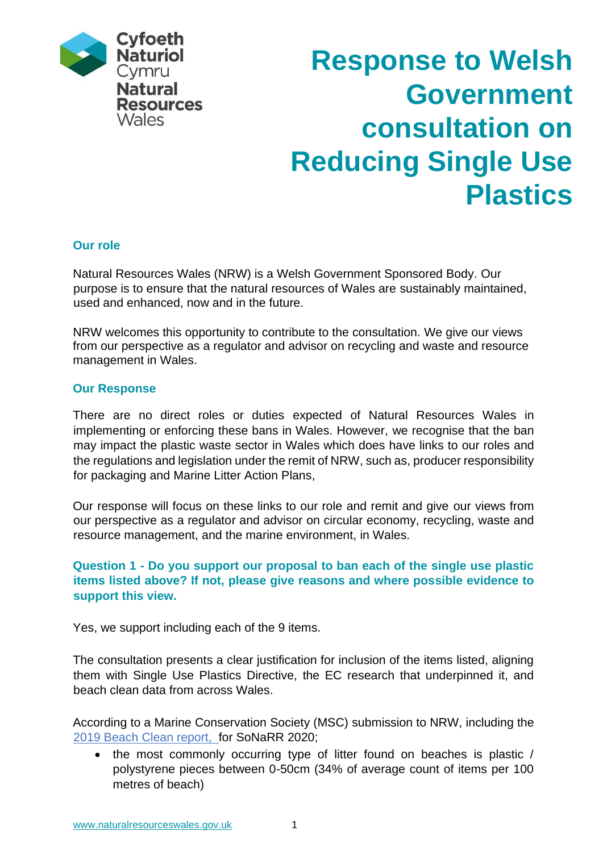

# **Response to Welsh Government consultation on Reducing Single Use Plastics**

## **Our role**

Natural Resources Wales (NRW) is a Welsh Government Sponsored Body. Our purpose is to ensure that the natural resources of Wales are sustainably maintained, used and enhanced, now and in the future.

NRW welcomes this opportunity to contribute to the consultation. We give our views from our perspective as a regulator and advisor on recycling and waste and resource management in Wales.

#### **Our Response**

There are no direct roles or duties expected of Natural Resources Wales in implementing or enforcing these bans in Wales. However, we recognise that the ban may impact the plastic waste sector in Wales which does have links to our roles and the regulations and legislation under the remit of NRW, such as, producer responsibility for packaging and Marine Litter Action Plans,

Our response will focus on these links to our role and remit and give our views from our perspective as a regulator and advisor on circular economy, recycling, waste and resource management, and the marine environment, in Wales.

# **Question 1 - Do you support our proposal to ban each of the single use plastic items listed above? If not, please give reasons and where possible evidence to support this view.**

Yes, we support including each of the 9 items.

The consultation presents a clear justification for inclusion of the items listed, aligning them with Single Use Plastics Directive, the EC research that underpinned it, and beach clean data from across Wales.

According to a Marine Conservation Society (MSC) submission to NRW, including the 2019 Beach [Clean report,](https://www.mcsuk.org/media/mcs-gbbc-2019-report-digital.pdf) for SoNaRR 2020;

• the most commonly occurring type of litter found on beaches is plastic / polystyrene pieces between 0-50cm (34% of average count of items per 100 metres of beach)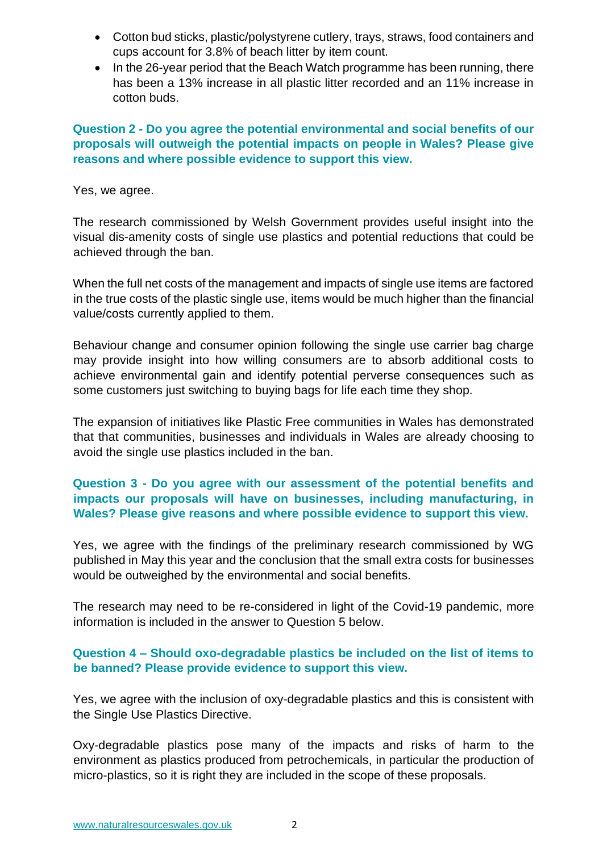- Cotton bud sticks, plastic/polystyrene cutlery, trays, straws, food containers and cups account for 3.8% of beach litter by item count.
- In the 26-year period that the Beach Watch programme has been running, there has been a 13% increase in all plastic litter recorded and an 11% increase in cotton buds.

# **Question 2 - Do you agree the potential environmental and social benefits of our proposals will outweigh the potential impacts on people in Wales? Please give reasons and where possible evidence to support this view.**

#### Yes, we agree.

The research commissioned by Welsh Government provides useful insight into the visual dis-amenity costs of single use plastics and potential reductions that could be achieved through the ban.

When the full net costs of the management and impacts of single use items are factored in the true costs of the plastic single use, items would be much higher than the financial value/costs currently applied to them.

Behaviour change and consumer opinion following the single use carrier bag charge may provide insight into how willing consumers are to absorb additional costs to achieve environmental gain and identify potential perverse consequences such as some customers just switching to buying bags for life each time they shop.

The expansion of initiatives like Plastic Free communities in Wales has demonstrated that that communities, businesses and individuals in Wales are already choosing to avoid the single use plastics included in the ban.

# **Question 3 - Do you agree with our assessment of the potential benefits and impacts our proposals will have on businesses, including manufacturing, in Wales? Please give reasons and where possible evidence to support this view.**

Yes, we agree with the findings of the preliminary research commissioned by WG published in May this year and the conclusion that the small extra costs for businesses would be outweighed by the environmental and social benefits.

The research may need to be re-considered in light of the Covid-19 pandemic, more information is included in the answer to Question 5 below.

## **Question 4 – Should oxo-degradable plastics be included on the list of items to be banned? Please provide evidence to support this view.**

Yes, we agree with the inclusion of oxy-degradable plastics and this is consistent with the Single Use Plastics Directive.

Oxy-degradable plastics pose many of the impacts and risks of harm to the environment as plastics produced from petrochemicals, in particular the production of micro-plastics, so it is right they are included in the scope of these proposals.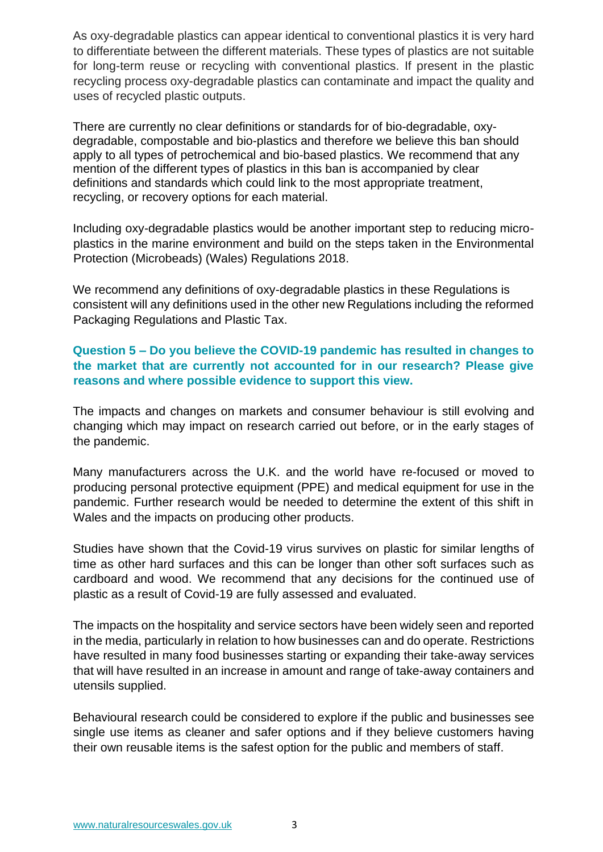As oxy-degradable plastics can appear identical to conventional plastics it is very hard to differentiate between the different materials. These types of plastics are not suitable for long-term reuse or recycling with conventional plastics. If present in the plastic recycling process oxy-degradable plastics can contaminate and impact the quality and uses of recycled plastic outputs.

There are currently no clear definitions or standards for of bio-degradable, oxydegradable, compostable and bio-plastics and therefore we believe this ban should apply to all types of petrochemical and bio-based plastics. We recommend that any mention of the different types of plastics in this ban is accompanied by clear definitions and standards which could link to the most appropriate treatment, recycling, or recovery options for each material.

Including oxy-degradable plastics would be another important step to reducing microplastics in the marine environment and build on the steps taken in the Environmental Protection (Microbeads) (Wales) Regulations 2018.

We recommend any definitions of oxy-degradable plastics in these Regulations is consistent will any definitions used in the other new Regulations including the reformed Packaging Regulations and Plastic Tax.

# **Question 5 – Do you believe the COVID-19 pandemic has resulted in changes to the market that are currently not accounted for in our research? Please give reasons and where possible evidence to support this view.**

The impacts and changes on markets and consumer behaviour is still evolving and changing which may impact on research carried out before, or in the early stages of the pandemic.

Many manufacturers across the U.K. and the world have re-focused or moved to producing personal protective equipment (PPE) and medical equipment for use in the pandemic. Further research would be needed to determine the extent of this shift in Wales and the impacts on producing other products.

Studies have shown that the Covid-19 virus survives on plastic for similar lengths of time as other hard surfaces and this can be longer than other soft surfaces such as cardboard and wood. We recommend that any decisions for the continued use of plastic as a result of Covid-19 are fully assessed and evaluated.

The impacts on the hospitality and service sectors have been widely seen and reported in the media, particularly in relation to how businesses can and do operate. Restrictions have resulted in many food businesses starting or expanding their take-away services that will have resulted in an increase in amount and range of take-away containers and utensils supplied.

Behavioural research could be considered to explore if the public and businesses see single use items as cleaner and safer options and if they believe customers having their own reusable items is the safest option for the public and members of staff.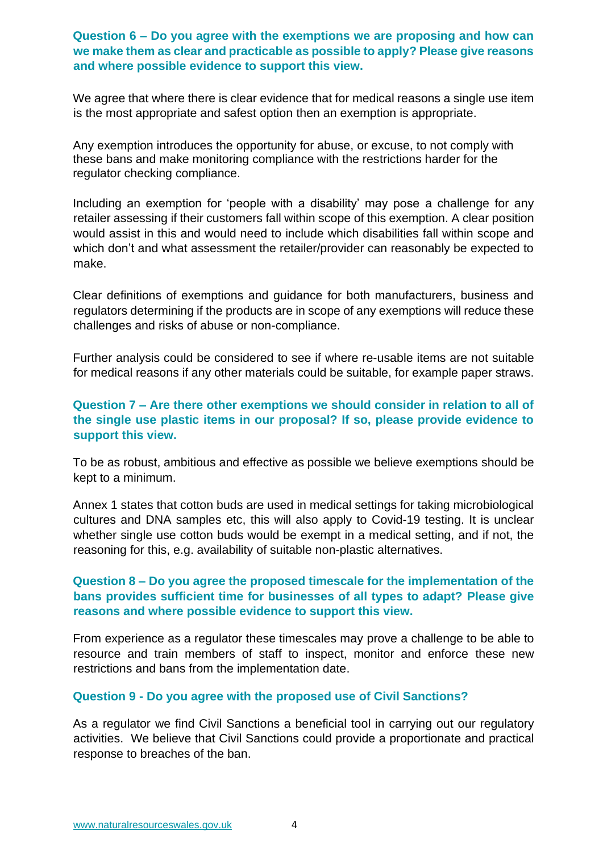#### **Question 6 – Do you agree with the exemptions we are proposing and how can we make them as clear and practicable as possible to apply? Please give reasons and where possible evidence to support this view.**

We agree that where there is clear evidence that for medical reasons a single use item is the most appropriate and safest option then an exemption is appropriate.

Any exemption introduces the opportunity for abuse, or excuse, to not comply with these bans and make monitoring compliance with the restrictions harder for the regulator checking compliance.

Including an exemption for 'people with a disability' may pose a challenge for any retailer assessing if their customers fall within scope of this exemption. A clear position would assist in this and would need to include which disabilities fall within scope and which don't and what assessment the retailer/provider can reasonably be expected to make.

Clear definitions of exemptions and guidance for both manufacturers, business and regulators determining if the products are in scope of any exemptions will reduce these challenges and risks of abuse or non-compliance.

Further analysis could be considered to see if where re-usable items are not suitable for medical reasons if any other materials could be suitable, for example paper straws.

# **Question 7 – Are there other exemptions we should consider in relation to all of the single use plastic items in our proposal? If so, please provide evidence to support this view.**

To be as robust, ambitious and effective as possible we believe exemptions should be kept to a minimum.

Annex 1 states that cotton buds are used in medical settings for taking microbiological cultures and DNA samples etc, this will also apply to Covid-19 testing. It is unclear whether single use cotton buds would be exempt in a medical setting, and if not, the reasoning for this, e.g. availability of suitable non-plastic alternatives.

## **Question 8 – Do you agree the proposed timescale for the implementation of the bans provides sufficient time for businesses of all types to adapt? Please give reasons and where possible evidence to support this view.**

From experience as a regulator these timescales may prove a challenge to be able to resource and train members of staff to inspect, monitor and enforce these new restrictions and bans from the implementation date.

#### **Question 9 - Do you agree with the proposed use of Civil Sanctions?**

As a regulator we find Civil Sanctions a beneficial tool in carrying out our regulatory activities. We believe that Civil Sanctions could provide a proportionate and practical response to breaches of the ban.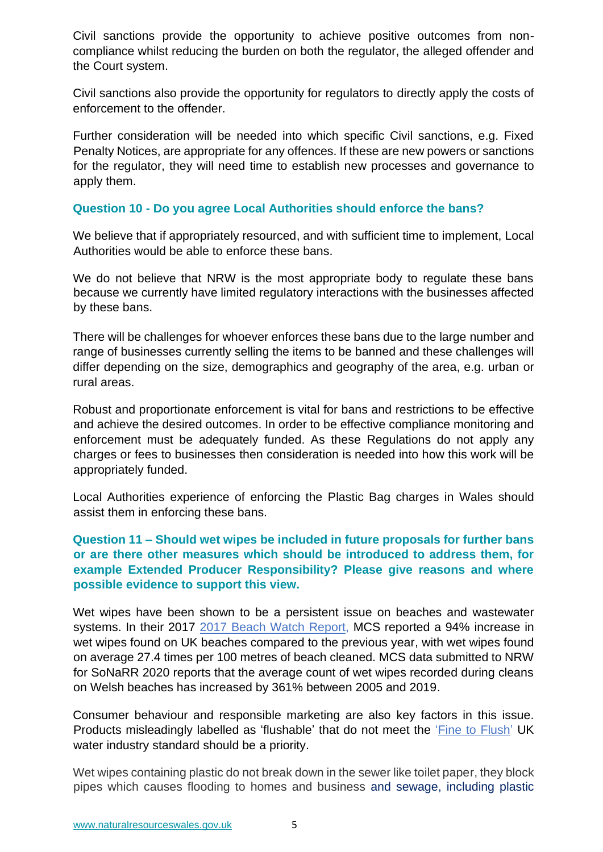Civil sanctions provide the opportunity to achieve positive outcomes from noncompliance whilst reducing the burden on both the regulator, the alleged offender and the Court system.

Civil sanctions also provide the opportunity for regulators to directly apply the costs of enforcement to the offender.

Further consideration will be needed into which specific Civil sanctions, e.g. Fixed Penalty Notices, are appropriate for any offences. If these are new powers or sanctions for the regulator, they will need time to establish new processes and governance to apply them.

## **Question 10 - Do you agree Local Authorities should enforce the bans?**

We believe that if appropriately resourced, and with sufficient time to implement, Local Authorities would be able to enforce these bans.

We do not believe that NRW is the most appropriate body to regulate these bans because we currently have limited regulatory interactions with the businesses affected by these bans.

There will be challenges for whoever enforces these bans due to the large number and range of businesses currently selling the items to be banned and these challenges will differ depending on the size, demographics and geography of the area, e.g. urban or rural areas.

Robust and proportionate enforcement is vital for bans and restrictions to be effective and achieve the desired outcomes. In order to be effective compliance monitoring and enforcement must be adequately funded. As these Regulations do not apply any charges or fees to businesses then consideration is needed into how this work will be appropriately funded.

Local Authorities experience of enforcing the Plastic Bag charges in Wales should assist them in enforcing these bans.

# **Question 11 – Should wet wipes be included in future proposals for further bans or are there other measures which should be introduced to address them, for example Extended Producer Responsibility? Please give reasons and where possible evidence to support this view.**

Wet wipes have been shown to be a persistent issue on beaches and wastewater systems. In their 2017 [2017 Beach Watch](https://www.mcsuk.org/media/GBBC_2017_Report.pdf) Report, MCS reported a 94% increase in wet wipes found on UK beaches compared to the previous year, with wet wipes found on average 27.4 times per 100 metres of beach cleaned. MCS data submitted to NRW for SoNaRR 2020 reports that the average count of wet wipes recorded during cleans on Welsh beaches has increased by 361% between 2005 and 2019.

Consumer behaviour and responsible marketing are also key factors in this issue. Products misleadingly labelled as 'flushable' that do not meet the ['Fine to Flush'](https://www.water.org.uk/news-item/fine-to-flush-a-major-new-development-in-the-fight-against-fatbergs/) UK water industry standard should be a priority.

Wet wipes containing plastic do not break down in the sewer like toilet paper, they block pipes which causes flooding to homes and business and sewage, including plastic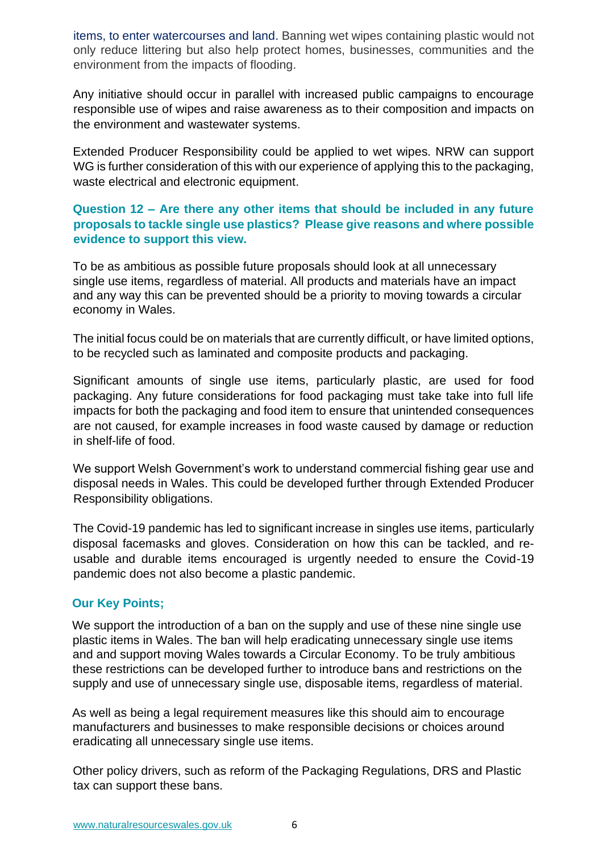items, to enter watercourses and land. Banning wet wipes containing plastic would not only reduce littering but also help protect homes, businesses, communities and the environment from the impacts of flooding.

Any initiative should occur in parallel with increased public campaigns to encourage responsible use of wipes and raise awareness as to their composition and impacts on the environment and wastewater systems.

Extended Producer Responsibility could be applied to wet wipes. NRW can support WG is further consideration of this with our experience of applying this to the packaging, waste electrical and electronic equipment.

# **Question 12 – Are there any other items that should be included in any future proposals to tackle single use plastics? Please give reasons and where possible evidence to support this view.**

To be as ambitious as possible future proposals should look at all unnecessary single use items, regardless of material. All products and materials have an impact and any way this can be prevented should be a priority to moving towards a circular economy in Wales.

The initial focus could be on materials that are currently difficult, or have limited options, to be recycled such as laminated and composite products and packaging.

Significant amounts of single use items, particularly plastic, are used for food packaging. Any future considerations for food packaging must take take into full life impacts for both the packaging and food item to ensure that unintended consequences are not caused, for example increases in food waste caused by damage or reduction in shelf-life of food.

We support Welsh Government's work to understand commercial fishing gear use and disposal needs in Wales. This could be developed further through Extended Producer Responsibility obligations.

The Covid-19 pandemic has led to significant increase in singles use items, particularly disposal facemasks and gloves. Consideration on how this can be tackled, and reusable and durable items encouraged is urgently needed to ensure the Covid-19 pandemic does not also become a plastic pandemic.

# **Our Key Points;**

We support the introduction of a ban on the supply and use of these nine single use plastic items in Wales. The ban will help eradicating unnecessary single use items and and support moving Wales towards a Circular Economy. To be truly ambitious these restrictions can be developed further to introduce bans and restrictions on the supply and use of unnecessary single use, disposable items, regardless of material.

As well as being a legal requirement measures like this should aim to encourage manufacturers and businesses to make responsible decisions or choices around eradicating all unnecessary single use items.

Other policy drivers, such as reform of the Packaging Regulations, DRS and Plastic tax can support these bans.